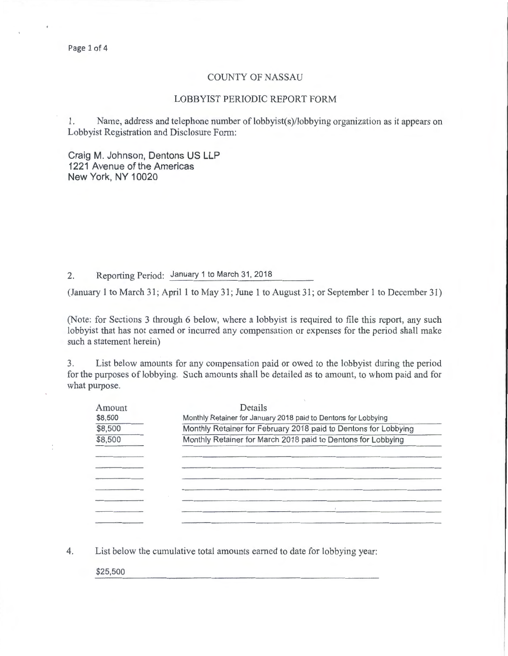#### COUNTY OF NASSAU

## LOBBYIST PERIODIC REPORT FORM

1. Name, address and telephone number of lobbyist(s)/lobbying organization as it appears on Lobbyist Registration and Disclosure Form:

Craig M. Johnson, Dentons US **LLP**  1221 Avenue of the Americas New York, NY 10020

2. Reporting Period: January 1 to March 31, 2018

(January 1 to March 31; April 1 to May 31; June 1 to August 31; or September 1 to December 31)

(Note: for Sections 3 through 6 below, where a lobbyist is required to file this report, any such lobbyist that has not earned or incurred any compensation or expenses for the period shall make such a statement herein)

3. List below amounts for any compensation paid or owed to the lobbyist during the period for the purposes of lobbying. Such amounts shall be detailed as to amount, to whom paid and for what purpose.

| Amount  | Details                                                         |
|---------|-----------------------------------------------------------------|
| \$8,500 | Monthly Retainer for January 2018 paid to Dentons for Lobbying  |
| \$8,500 | Monthly Retainer for February 2018 paid to Dentons for Lobbying |
| \$8,500 | Monthly Retainer for March 2018 paid to Dentons for Lobbying    |
|         |                                                                 |
|         |                                                                 |
|         |                                                                 |
|         |                                                                 |
|         |                                                                 |
|         |                                                                 |
|         |                                                                 |

4. List below the cumulative total amounts earned to date for lobbying year:

\$25,500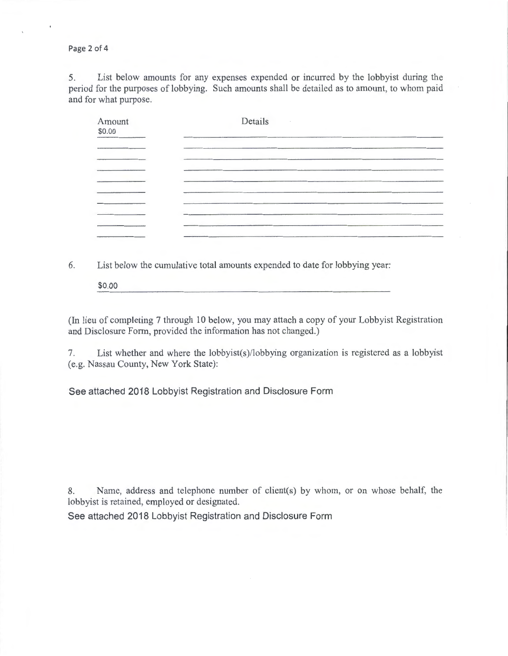Page 2 of 4

5. List below amounts for any expenses expended or incurred by the lobbyist during the period for the purposes of lobbying. Such amounts shall be detailed as to amount, to whom paid and for what purpose.

| Amount<br>\$0.00 | Details |  |
|------------------|---------|--|
|                  |         |  |
|                  |         |  |
|                  |         |  |
|                  |         |  |
|                  |         |  |

6. List below the cumulative total amounts expended to date for lobbying year:

\$0.00

(In lieu of completing 7 through 10 below, you may attach a copy of your Lobbyist Registration and Disclosure Form, provided the information has not changed.)

7. List whether and where the lobbyist(s)/lobbying organization is registered as a lobbyist (e.g. Nassau County, New York State):

See attached 2018 Lobbyist Registration and Disclosure Form

8. Name, address and telephone number of client(s) by whom, or on whose behalf, the lobbyist is retained, employed or designated.

See attached 2018 Lobbyist Registration and Disclosure Form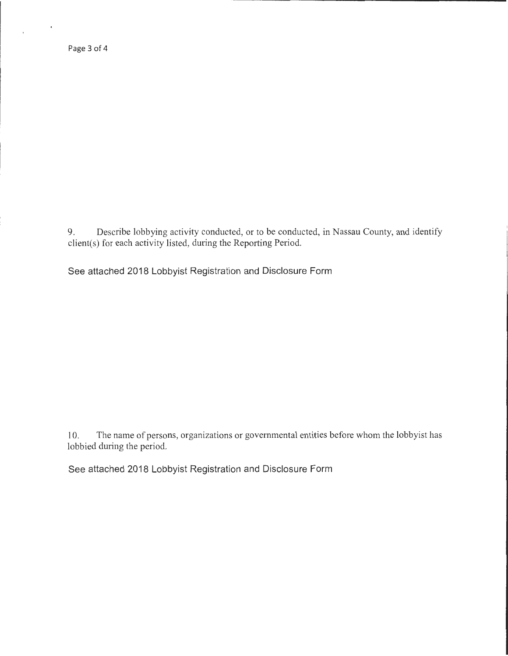Page 3 of 4

 $\epsilon$ 

 $\ddot{\phantom{a}}$ 

9. Describe lobbying activity conducted, or to be conducted, in Nassau County, and identify client(s) for each activity listed, during the Reporting Period.

See attached 2018 Lobbyist Registration and Disclosure Form

10. The name of persons, organizations or governmental entities before whom the lobbyist has lobbied during the period.

See attached 2018 Lobbyist Registration and Disclosure Form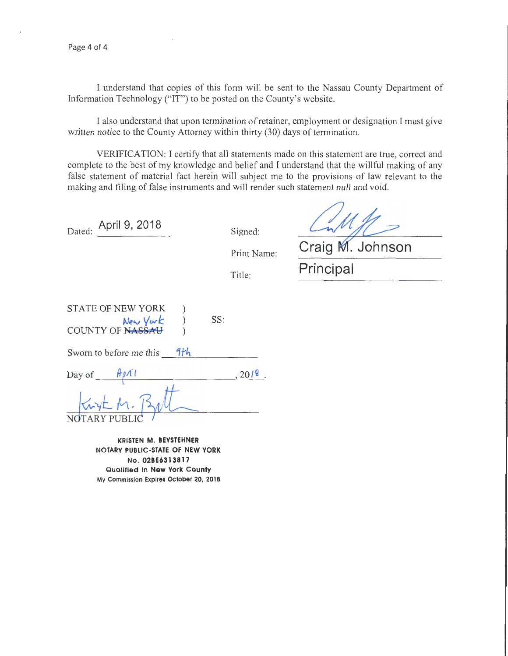I understand that copies of this form will be sent to the Nassau County Department of Information Technology ("IT") to be posted on the County's website.

I also understand that upon termination of retainer, employment or designation I must give written notice to the County Attorney within thirty (30) days of termination.

VERIFICATION: I certify that all statements made on this statement are true, correct and complete to the best of my knowledge and belief and I understand that the willful making of any false statement of material fact herein will subject me to the provisions of law relevant to the making and filing of false instruments and will render such statement null and void.

| Dated: | April 9, 2018 |  |  |
|--------|---------------|--|--|
|        |               |  |  |

Signed:

Print Name:

Title:

Craig M. Johnson Principal

| STATE OF NEW YORK |     |  |
|-------------------|-----|--|
| New York          | SS: |  |
| COUNTY OF NASSAU  |     |  |

Sworn to before me this  $\frac{9}{1}h$ 

Day of  $, 2019$ .

NOTARY PUBLI<mark>(</mark>  $W_{\text{W}}$ 

KRISTEN M. BEVSTEHNER NOTARY PUBLIC-STATE OF NEW YORK No. 02BE6313817 Qualified In New York County My Commission Expires October 20, 2018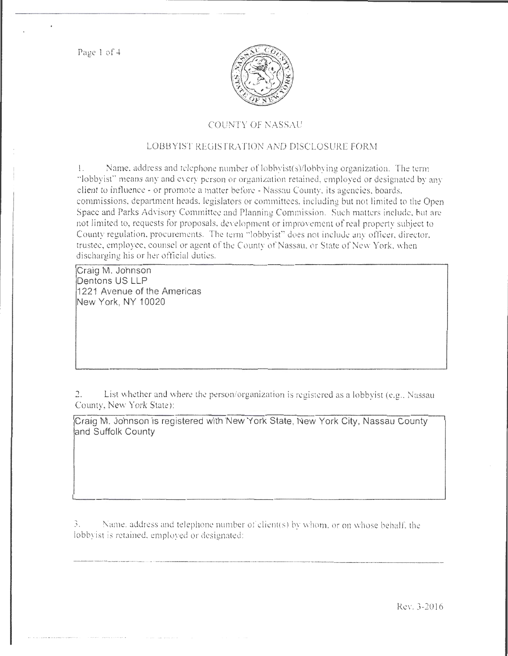Page 1 of 4



# COUNTY OF NASSAU

# LOBBYIST REGISTRATION AND DISCLOSURE FORM

I. Name, address and telephone number of lobbyist(s)/lobbying organization. The term "lobbyist'' means any and every person or organization retained, employed or designated by any client to influence- or promote a matter before- Nassau Connty. its agencies. boards, commissions. department heads. legislators or committees, including but not limited to the Open Space and Parks Advisory Committee and Planning Commission. Such matters include. but arc not limited to, requests for proposals, development or improvement of real property subject to County regulation, procurements. The term "lobbyist" does not include any officer, director, trustee, employee, counsel or agent of the County of Nassau, or State of New York, when discharging his or her official duties.

Craig M. Johnson Dentons US LLP 1221 Avenue of the Americas New York, NY 10020

2. List whether and where the person/organization is registered as a lobbyist (e.g .. Nassau County, New York State):

Craig M. Johnson is registered with New York State, New York City, Nassau County and Suffolk County

**3.** *Name.* **address and telephone number of client(s) by whom, or on whose behalf, the** lobbyist is retained, employed or designated: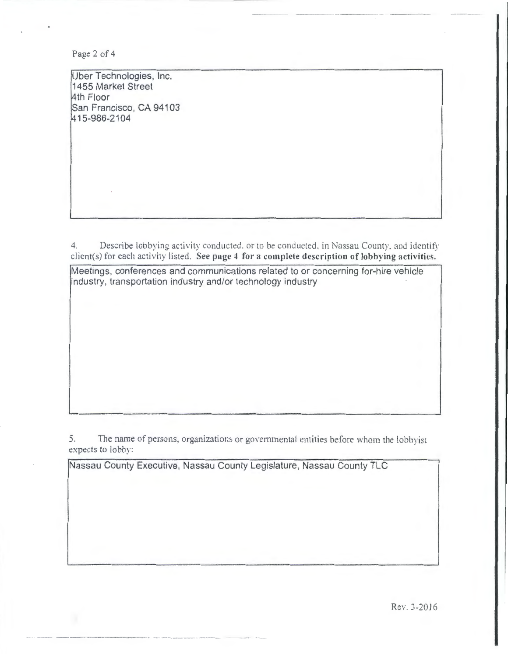Page 2 of 4

Uber Technologies, Inc. 1455 Market Street 4th Floor San Francisco, CA 94103 1415-986-2104

4. Describe lobbying activity conducted, or to be conducted, in Nassau County, and identify client(s) for each activity listed. See page 4 for a complete description of lobbying activities.

Meetings, conferences and communications related to or concerning for-hire vehicle industry, transportation industry and/or technology industry

5. The name of persons, organizations or governmental entities before whom the lobbyist expects to lobby:

Nassau County Executive, Nassau County Legislature, Nassau County TLC

Rev. 3-2016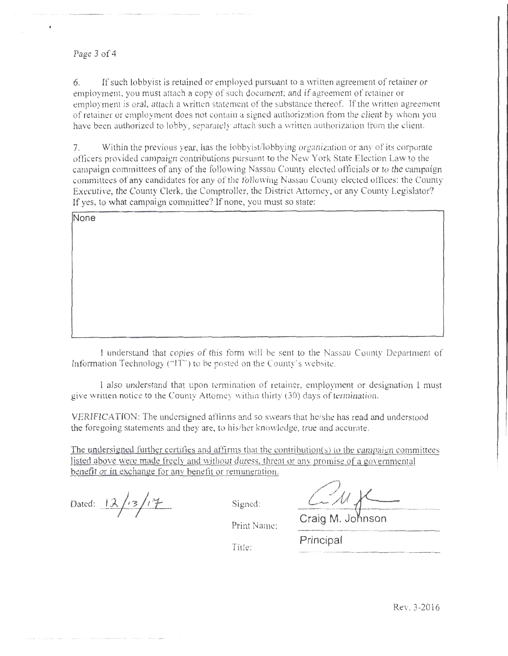#### Page 3 of 4

None

6. If such lobbyist is retained or employed pursuant to a written agreement of retainer or employment. you must attach a copy of such document; and if agreement of retainer or employment is oral, attach a written statement of the substance thereof. If the written agreement of retainer or employment does not contain a signed authorization from the client by whom you have been authorized to lobby, separately attach such a written authorization from the client.

7. Within the previous year, has the lobbyist/lobbying organization or any of its corporate officers pro ided campaign contributions pursuant to the New York State Election Law to the campaign committees of any of the following Nassau County elected officials or to the campaign committees of any candidates for any of the following Nassau Coumy elected offices: the County Executive, the County Clerk, the Comptroller, the District Attorney, or any County Legislator? If yes, to what campaign committee? If none, you must so state:

I understand that copies of this form will be sent to the Nassau County Department of

Information Technology ("IT") to be posted on the County's website.

I also tmderstand that upon termination of retainer, employment or designation I must give written notice to the County Attorney within thirty (30) days of termination.

VERIFICATION: The undersigned afftnns and so swears that he/she has read and understood the foregoing statements and they are, to his/her knowledge, true and accurate.

The undersigned further certifies and affirms that the contribution(s) to the campaign committees listed above were made freely and without duress, threat or any promise of a governmental benefit or in exchange for any benefit or remuneration.

Dated:  $12/13/17$  Signed:

Title:

Craig M. Johnson

Print Name:

Principal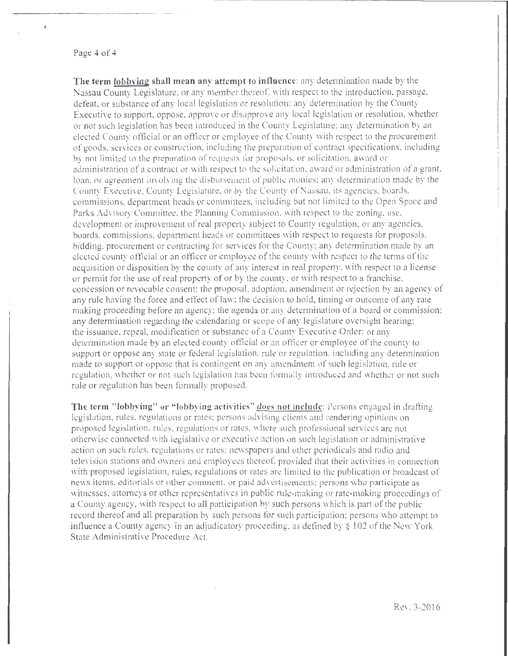#### Page 4 of 4

è

**The term lobbving shall mean any attempt to influence:** any determination made by the Nassau County Legislature, or any member thereof, with respect to the introduction, passage, defeat, or substance of any local legislation or resolution: any determination by the County Executive to support, oppose, approve or disapprove any local legislation or resolution, whether or not such legislation has been introduced in the Counry Legislature: any determination by an elected County official or an ofticer or employee of the County with respect to the procurement of goods, services or construction, including the preparation of contract specifications, including by not limited to the preparation of requests for proposals, or solicitation, award or administration of a contract or with respect to the solicitation, award or administration of a grant, loan, or agreement involving the disbursement of public monies; any determination made by the County Executive, County Legislature, or by the County of Nassau, its agencies, boards, commissions. department heads or committees, including but not limited to the Open Space and Parks Advisory Committee, the Planning Commission, with respect to the zoning, use, development or improvement of real property subject to County regulation, or any agencies, boards, commissions, department heads or committees with respect to requests for proposals. bidding, procurement or contracting for services for the County; any determination made by an elected county official or an officer or employee of the county with respect to the terms of the acquisition or disposition by the county of any interest in real property. with respect to a license or pem1it for the use of real property of or by the county. or with respect to a franchise. concession or revocable consent; the proposal, adoption, amendment or rejection by an agency of any rule having the force and effect of law; the decision to hold, timing or outcome of any rate making proceeding before an agency; the agenda or any determination of a board or commission; any determination regarding the calendaring or scope of any legislature oversight hearing; the issuance, repeal, modification or substance of a County Executive Order: or any determination made by an elected county official or an officer or employee of the county to support or oppose any state or federal legislation. rule or regulation. including any determination made to support or oppose that is contingent on any amendment of such legislation, rule or regulation, whether or not such legislation has been formally introduced and whether or not such rule or regulation has been formally proposed.

----·-------------------------------------.

The term "lobbying" or "lobbying activities" does not include: Persons engaged in drafting legislation, rules. regulations or rates; persons advising clients and rendering opinions on proposed legislation, rules, regulations or rates, where such professional services are not otherwise connected with legislative or executive action on such legislation or administrative action on such rules, regulations or rates: newspapers and other periodicals and radio and television stations and owners and employees thereof. provided that their activities in connection with proposed legislation, rules, regulations or rates are limited to the publication or broadcast of news items. editorials or other comment, or paid advertisements: persons who participate as witnesses, attorneys or other representatives in public rule-making or rate-making proceedings of a County agency, with respect to all participation by such persons which is part of the public record thereof and all preparation by such persons for such participation; persons who attempt to influence a County agency in an adjudicatory proceeding, as defined by § 102 of the New York State Administrative Procedure Act.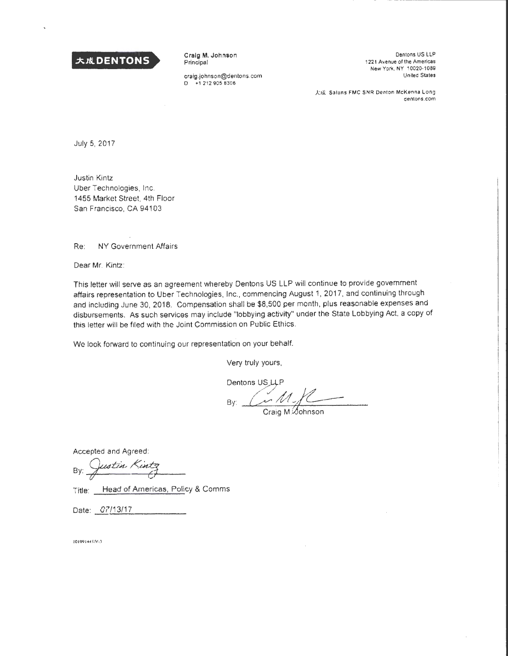

Craig M. Johnson Principal

craig.johnson@dentons.com D +1 212 905 8306

Dentons US LLP 1221 Avenue of the Americas New York, NY 10020-1089 United States

大成 Salans FMC SNR Denton McKenna Long dentons.com

July 5, 2017

Justin Kintz Uber Technologies. Inc. 1455 Market Street. 4th Floor San Francisco, CA 94103

Re: NY Government Affairs

Dear Mr. Kintz:

This letter will serve as an agreement whereby Dentons US LLP will continue to provide government affairs representation to Uber Technologies, Inc., commencing August 1, 2017, and continuing through and including June 30, 2018. Compensation shall be \$8,500 per month, plus reasonable expenses and disbursements. As such services may include "lobbying activity" under the State Lobbying Act, a copy of this letter will be filed with the Joint Commission on Public Ethics.

We look forward to continuing our representation on your behalf.

Very truly yours,

Dentons US\_LLP By:  $\frac{M}{C_{\text{raig M}}}\frac{M}{M}$ 

Accepted and Agreed:

By: Justin Kintz

Title: Head of Americas, Policy & Comms

Date: 07/13/17

10199144539-3